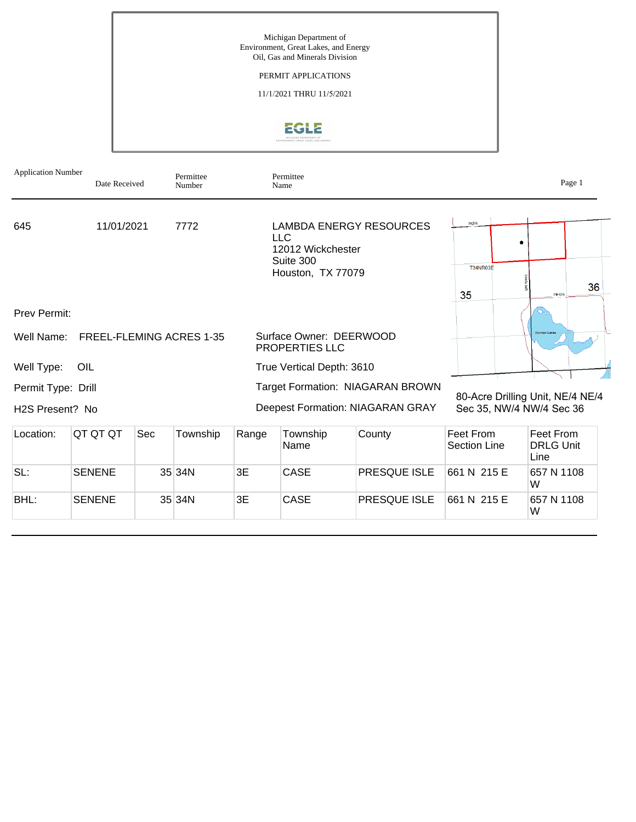Michigan Department of Environment, Great Lakes, and Energy Oil, Gas and Minerals Division PERMIT APPLICATIONS 11/1/2021 THRU 11/5/2021 EGLE

| <b>Application Number</b>    | Date Received                   |     | Permittee<br>Number |       | Permittee<br>Name                                                 |                                         |                                  | Page 1                                |
|------------------------------|---------------------------------|-----|---------------------|-------|-------------------------------------------------------------------|-----------------------------------------|----------------------------------|---------------------------------------|
| 645                          | 11/01/2021                      |     | 7772                |       | <b>LLC</b><br>12012 Wickchester<br>Suite 300<br>Houston, TX 77079 | <b>LAMBDA ENERGY RESOURCES</b>          | Inglis<br>T34NR03E<br>35         | 36<br>Heron                           |
| <b>Prev Permit:</b>          |                                 |     |                     |       |                                                                   |                                         |                                  |                                       |
| Well Name:                   | <b>FREEL-FLEMING ACRES 1-35</b> |     |                     |       | Surface Owner: DEERWOOD<br><b>PROPERTIES LLC</b>                  |                                         |                                  |                                       |
| Well Type:                   | OIL                             |     |                     |       | True Vertical Depth: 3610                                         |                                         |                                  |                                       |
| Permit Type: Drill           |                                 |     |                     |       |                                                                   | Target Formation: NIAGARAN BROWN        |                                  |                                       |
| H <sub>2</sub> S Present? No |                                 |     |                     |       |                                                                   | <b>Deepest Formation: NIAGARAN GRAY</b> | Sec 35, NW/4 NW/4 Sec 36         | 80-Acre Drilling Unit, NE/4 NE/4      |
| Location:                    | QT QT QT                        | Sec | Township            | Range | Township<br>Name                                                  | County                                  | Feet From<br><b>Section Line</b> | Feet From<br><b>DRLG Unit</b><br>Line |
| SL:                          | <b>SENENE</b>                   |     | 35 34N              | 3E    | CASE                                                              | <b>PRESQUE ISLE</b>                     | 661 N 215 E                      | 657 N 1108<br>W                       |
| BHL:                         | <b>SENENE</b>                   |     | 35 34N              | 3E    | <b>CASE</b>                                                       | PRESQUE ISLE                            | 661 N 215 E                      | 657 N 1108<br>W                       |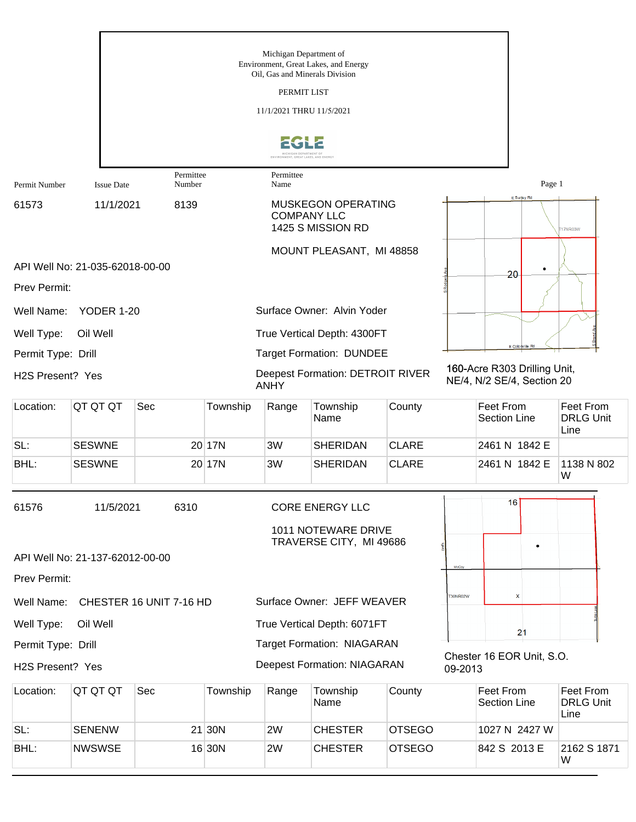|                                  |                                 |                         |          | Michigan Department of<br>Oil, Gas and Minerals Division<br>PERMIT LIST<br>11/1/2021 THRU 11/5/2021 | Environment, Great Lakes, and Energy                           |               |         |                                                            |                                       |
|----------------------------------|---------------------------------|-------------------------|----------|-----------------------------------------------------------------------------------------------------|----------------------------------------------------------------|---------------|---------|------------------------------------------------------------|---------------------------------------|
|                                  |                                 |                         |          | ENVIRONMENT, GREAT LAKES, AND ENERG'                                                                |                                                                |               |         |                                                            |                                       |
| Permit Number                    | <b>Issue Date</b>               | Permittee<br>Number     |          | Permittee<br>Name                                                                                   |                                                                |               |         | Page 1                                                     |                                       |
| 61573                            | 11/1/2021                       | 8139                    |          | <b>MUSKEGON OPERATING</b><br><b>COMPANY LLC</b><br>1425 S MISSION RD                                |                                                                |               |         | E Surjey Rd                                                | 17NR03W                               |
|                                  |                                 |                         |          |                                                                                                     | MOUNT PLEASANT, MI 48858                                       |               |         |                                                            |                                       |
|                                  | API Well No: 21-035-62018-00-00 |                         |          |                                                                                                     |                                                                |               |         | 20                                                         |                                       |
| Prev Permit:                     |                                 |                         |          |                                                                                                     |                                                                |               |         |                                                            |                                       |
| Well Name:                       | <b>YODER 1-20</b>               |                         |          |                                                                                                     | Surface Owner: Alvin Yoder                                     |               |         |                                                            |                                       |
| Well Type:<br>Permit Type: Drill | Oil Well                        |                         |          |                                                                                                     | True Vertical Depth: 4300FT<br><b>Target Formation: DUNDEE</b> |               |         | E Colonville Rd                                            |                                       |
| H <sub>2</sub> S Present? Yes    |                                 |                         |          | <b>ANHY</b>                                                                                         | <b>Deepest Formation: DETROIT RIVER</b>                        |               |         | 160-Acre R303 Drilling Unit,<br>NE/4, N/2 SE/4, Section 20 |                                       |
| Location:                        | QT QT QT                        | Sec                     | Township | Range                                                                                               | Township<br>Name                                               | County        |         | Feet From<br><b>Section Line</b>                           | Feet From<br><b>DRLG Unit</b><br>Line |
| SL:                              | <b>SESWNE</b>                   |                         | 20 17N   | 3W                                                                                                  | <b>SHERIDAN</b>                                                | <b>CLARE</b>  |         | 2461 N 1842 E                                              |                                       |
| BHL:                             | <b>SESWNE</b>                   |                         | 20 17N   | 3W                                                                                                  | <b>SHERIDAN</b>                                                | <b>CLARE</b>  |         | 2461 N 1842 E                                              | 1138 N 802<br>W                       |
| 61576                            | 11/5/2021                       | 6310                    |          |                                                                                                     | <b>CORE ENERGY LLC</b>                                         |               |         | 16                                                         |                                       |
|                                  |                                 |                         |          |                                                                                                     | 1011 NOTEWARE DRIVE<br>TRAVERSE CITY, MI 49686                 |               |         |                                                            |                                       |
|                                  | API Well No: 21-137-62012-00-00 |                         |          |                                                                                                     |                                                                |               | McCoy   | ٠                                                          |                                       |
| Prev Permit:                     |                                 |                         |          |                                                                                                     |                                                                |               |         |                                                            |                                       |
| Well Name:                       |                                 | CHESTER 16 UNIT 7-16 HD |          |                                                                                                     | Surface Owner: JEFF WEAVER                                     |               | 30NR02W | x                                                          |                                       |
| Well Type:                       | Oil Well                        |                         |          |                                                                                                     | True Vertical Depth: 6071FT                                    |               |         | 21                                                         |                                       |
| Permit Type: Drill               |                                 |                         |          |                                                                                                     | <b>Target Formation: NIAGARAN</b>                              |               |         | Chester 16 EOR Unit, S.O.                                  |                                       |
| H2S Present? Yes                 |                                 |                         |          |                                                                                                     | <b>Deepest Formation: NIAGARAN</b>                             |               | 09-2013 |                                                            |                                       |
| Location:                        | QT QT QT                        | Sec                     | Township | Range                                                                                               | Township<br>Name                                               | County        |         | Feet From<br><b>Section Line</b>                           | Feet From<br><b>DRLG Unit</b><br>Line |
| SL:                              | <b>SENENW</b>                   |                         | $21$ 30N | 2W                                                                                                  | <b>CHESTER</b>                                                 | <b>OTSEGO</b> |         | 1027 N 2427 W                                              |                                       |
| BHL:                             | <b>NWSWSE</b>                   |                         | 16 30N   | 2W                                                                                                  | <b>CHESTER</b>                                                 | <b>OTSEGO</b> |         | 842 S 2013 E                                               | 2162 S 1871                           |

W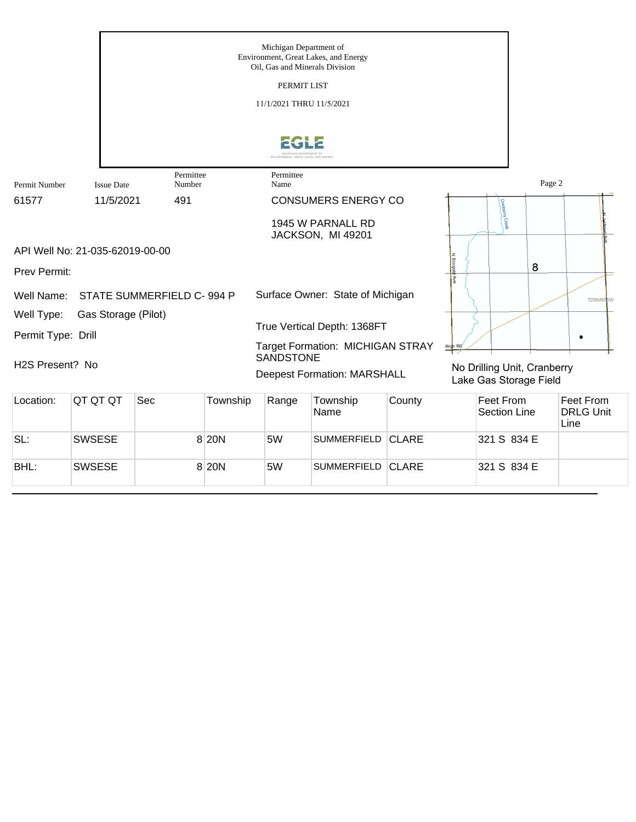

BHL: SWSESE 8 20N 5W SUMMERFIELD CLARE 321 S 834 E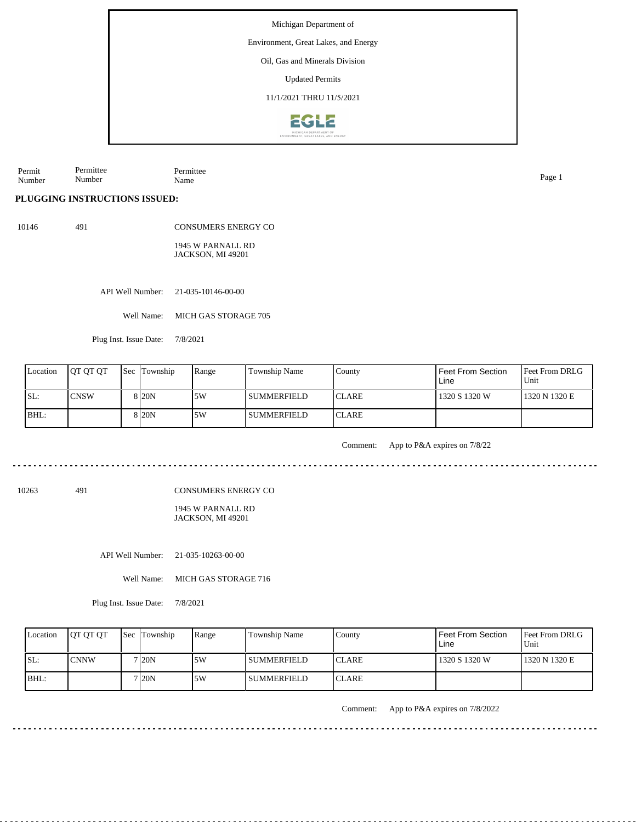Environment, Great Lakes, and Energy

Oil, Gas and Minerals Division

Updated Permits

11/1/2021 THRU 11/5/2021



Permit Number Permittee Number Permittee Name Page 1

**PLUGGING INSTRUCTIONS ISSUED:**

10146 491

CONSUMERS ENERGY CO 1945 W PARNALL RD JACKSON, MI 49201

API Well Number: 21-035-10146-00-00

Well Name: MICH GAS STORAGE 705

Plug Inst. Issue Date: 7/8/2021

| Location | <b>IOT OT OT</b> | <b>Sec Township</b> | Range | Township Name | County        | <b>Feet From Section</b><br>Line | <b>Feet From DRLG</b><br>Unit |
|----------|------------------|---------------------|-------|---------------|---------------|----------------------------------|-------------------------------|
| SL:      | <b>CNSW</b>      | 8 20N               | 5W    | l summerfield | <b>ICLARE</b> | 1320 S 1320 W                    | 1320 N 1320 E                 |
| BHL:     |                  | 8 <sub>120</sub> N  | .5W   | I SUMMERFIELD | <b>ICLARE</b> |                                  |                               |

Comment: App to P&A expires on 7/8/22

10263 491

CONSUMERS ENERGY CO

1945 W PARNALL RD JACKSON, MI 49201

API Well Number: 21-035-10263-00-00

Well Name: MICH GAS STORAGE 716

Plug Inst. Issue Date: 7/8/2021

| Location | <b>IOT OT OT</b> | <b>Sec</b> Township | Range | Township Name | County        | <b>Feet From Section</b><br>Line | Feet From DRLG<br>Unit |
|----------|------------------|---------------------|-------|---------------|---------------|----------------------------------|------------------------|
| ISL:     | <b>CNNW</b>      | ' I20N              | 5W    | l summerfield | <b>ICLARE</b> | 1320 S 1320 W                    | 1320 N 1320 E          |
| IBHL:    |                  | ' I20N              | 5W    | l SUMMERFIELD | <b>ICLARE</b> |                                  |                        |

Comment: App to P&A expires on 7/8/2022

<u>a da da da da d</u>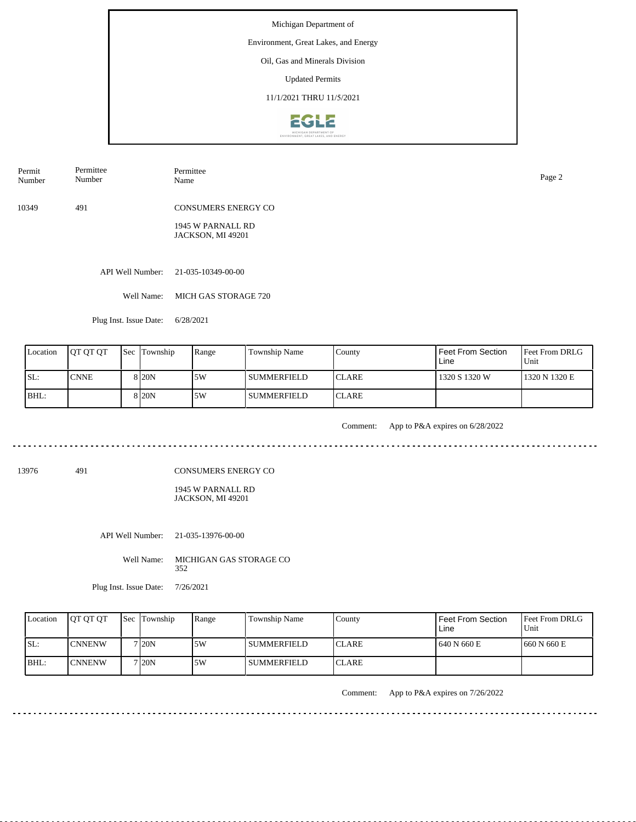Environment, Great Lakes, and Energy

## Oil, Gas and Minerals Division

Updated Permits

11/1/2021 THRU 11/5/2021



10349 491 CONSUMERS ENERGY CO Permit Number Permittee Number Permittee Name Page 2

1945 W PARNALL RD

JACKSON, MI 49201

API Well Number: 21-035-10349-00-00

Well Name: MICH GAS STORAGE 720

Plug Inst. Issue Date: 6/28/2021

| Location | <b>IOT OT OT</b> | <b>Sec</b> Township | Range | Township Name      | County        | Feet From Section<br>Line | <b>Feet From DRLG</b><br>Unit |
|----------|------------------|---------------------|-------|--------------------|---------------|---------------------------|-------------------------------|
| ISL:     | <b>ICNNE</b>     | 8 <sub>20</sub> N   | 15W   | l summerfield      | <b>ICLARE</b> | 1320 S 1320 W             | 1320 N 1320 E                 |
| BHL:     |                  | 8 20N               | 15W   | <b>SUMMERFIELD</b> | <b>ICLARE</b> |                           |                               |

<u>. . . . . . . . .</u>

Comment: App to P&A expires on 6/28/2022

13976 491

CONSUMERS ENERGY CO

1945 W PARNALL RD JACKSON, MI 49201

API Well Number: 21-035-13976-00-00

Well Name: MICHIGAN GAS STORAGE CO 352

Plug Inst. Issue Date: 7/26/2021

| Location | <b>IOT OT OT</b> | <b>Sec Township</b> | Range | Township Name      | County        | Feet From Section<br>Line | <b>Feet From DRLG</b><br>Unit |
|----------|------------------|---------------------|-------|--------------------|---------------|---------------------------|-------------------------------|
| ISL:     | <b>ICNNENW</b>   | 7 I20N              | .5W   | <b>SUMMERFIELD</b> | <b>ICLARE</b> | 1 640 N 660 E             | 1660 N 660 E                  |
| $IBHL$ : | <b>ICNNENW</b>   | 7 I20N              | .5W   | <b>SUMMERFIELD</b> | <b>ICLARE</b> |                           |                               |

Comment: App to P&A expires on 7/26/2022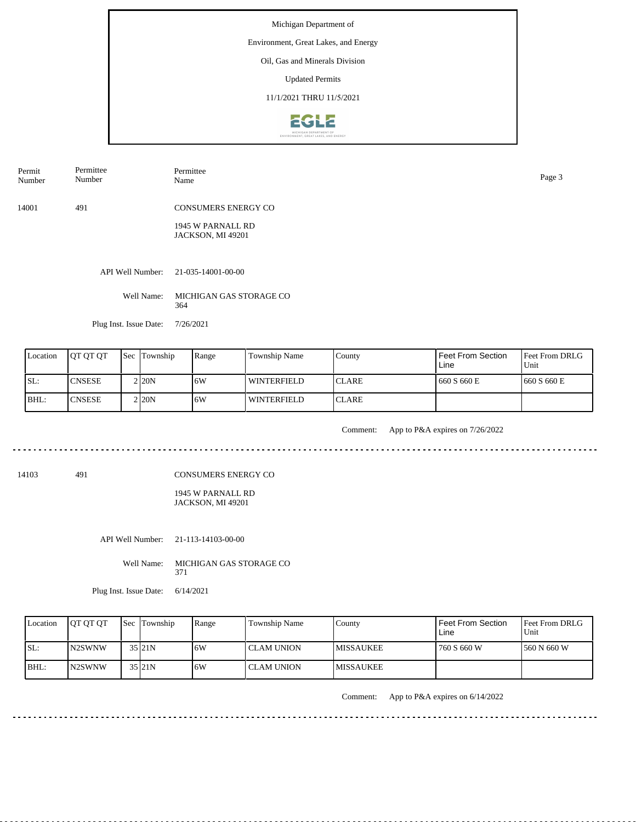Environment, Great Lakes, and Energy

## Oil, Gas and Minerals Division

Updated Permits

11/1/2021 THRU 11/5/2021



Permit Number Permittee Number Permittee Name Page 3

14001 491 CONSUMERS ENERGY CO

> 1945 W PARNALL RD JACKSON, MI 49201

API Well Number: 21-035-14001-00-00

Well Name: MICHIGAN GAS STORAGE CO 364

Plug Inst. Issue Date: 7/26/2021

. . . . . . .

| Location | <b>IOT OT OT</b> | <b>Sec</b> Township | Range | Township Name | County        | Feet From Section<br>Line | <b>Feet From DRLG</b><br>Unit |
|----------|------------------|---------------------|-------|---------------|---------------|---------------------------|-------------------------------|
| SL:      | <b>CNSESE</b>    | 2120N               | 16W   | l winterfield | <b>ICLARE</b> | 660 S 660 E               | 1660 S 660 E                  |
| BHL:     | <b>CNSESE</b>    | 2120N               | ا 6W  | l winterfield | <b>ICLARE</b> |                           |                               |

<u>. . . . . . . . . . . . . . . .</u>

Comment: App to P&A expires on 7/26/2022 

14103 491

CONSUMERS ENERGY CO

1945 W PARNALL RD JACKSON, MI 49201

API Well Number: 21-113-14103-00-00

Well Name: MICHIGAN GAS STORAGE CO 371

Plug Inst. Issue Date: 6/14/2021

| Location | <b>IOT OT OT</b> | <b>Sec</b> Township | Range | Township Name     | Countv            | <b>Feet From Section</b><br>Line | <b>Feet From DRLG</b><br>Unit |
|----------|------------------|---------------------|-------|-------------------|-------------------|----------------------------------|-------------------------------|
| ISL:     | IN2SWNW          | 35 21N              | 6W    | CLAM UNION        | <b>IMISSAUKEE</b> | 760 S 660 W                      | 1560 N 660 W                  |
| $IBHL$ : | IN2SWNW          | 35 21N              | 6W    | <b>CLAM UNION</b> | <b>MISSAUKEE</b>  |                                  |                               |

Comment: App to P&A expires on 6/14/2022

 $- - - - - -$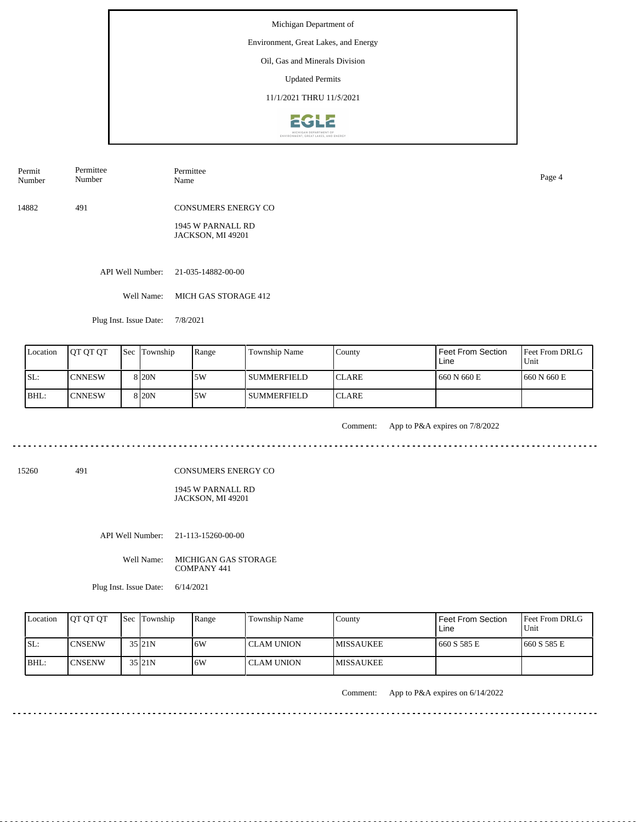#### Environment, Great Lakes, and Energy

Oil, Gas and Minerals Division

Updated Permits

11/1/2021 THRU 11/5/2021



Permit Number Permittee Number

Permittee Name Page 4

14882 491 CONSUMERS ENERGY CO

> 1945 W PARNALL RD JACKSON, MI 49201

API Well Number: 21-035-14882-00-00

Well Name: MICH GAS STORAGE 412

Plug Inst. Issue Date: 7/8/2021

| Location | <b>OT OT OT</b> | <b>Sec</b> Township | Range | Township Name | County        | Feet From Section<br>Line | <b>Feet From DRLG</b><br>Unit |
|----------|-----------------|---------------------|-------|---------------|---------------|---------------------------|-------------------------------|
| SL:      | <b>ICNNESW</b>  | 8 <sub>20</sub> N   | .5W   | l summerfield | <b>ICLARE</b> | 660 N 660 E               | 1660 N 660 E                  |
| BHL:     | <b>ICNNESW</b>  | 8 <sub>20</sub> N   | .5W   | SUMMERFIELD   | <b>ICLARE</b> |                           |                               |

<u>. . . . . . . . . .</u>

Comment: App to P&A expires on 7/8/2022

15260 491

CONSUMERS ENERGY CO

1945 W PARNALL RD JACKSON, MI 49201

API Well Number: 21-113-15260-00-00

Well Name: MICHIGAN GAS STORAGE COMPANY 441

Plug Inst. Issue Date: 6/14/2021

| Location | <b>IOT OT OT</b> | <b>Sec Township</b> | Range | Township Name | County            | Feet From Section<br>Line | <b>IFeet From DRLG</b><br>Unit |
|----------|------------------|---------------------|-------|---------------|-------------------|---------------------------|--------------------------------|
| SL:      | ICNSENW          | 35 21N              | 6W    | I CLAM UNION- | <b>IMISSAUKEE</b> | 1660 S 585 E              | 1660 S 585 E                   |
| $IBHL$ : | ICNSENW          | 35 21N              | 6W    | CLAM UNION    | <b>IMISSAUKEE</b> |                           |                                |

Comment: App to P&A expires on 6/14/2022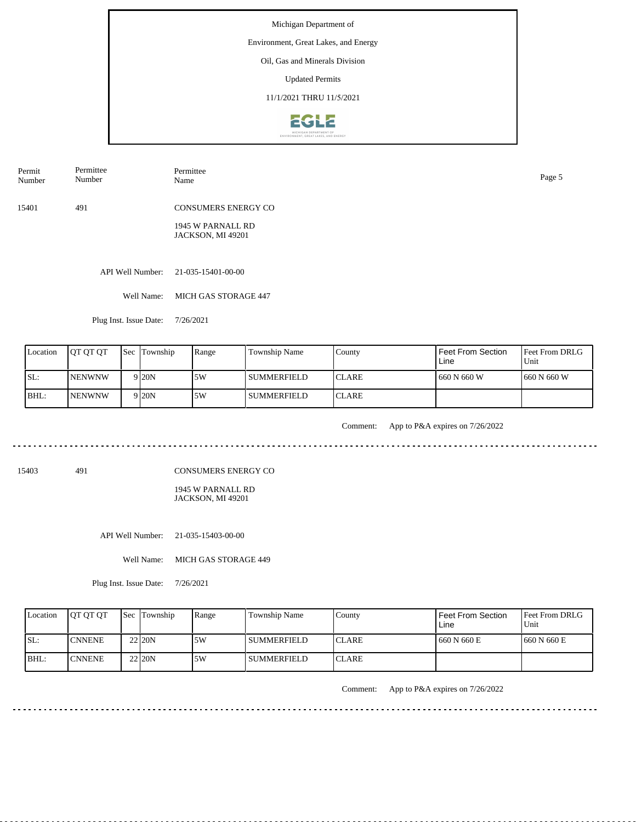Environment, Great Lakes, and Energy

## Oil, Gas and Minerals Division

Updated Permits

11/1/2021 THRU 11/5/2021



Permit Number Permittee Number Permittee Name Page 5

15401 491 CONSUMERS ENERGY CO

> 1945 W PARNALL RD JACKSON, MI 49201

API Well Number: 21-035-15401-00-00

Well Name: MICH GAS STORAGE 447

Plug Inst. Issue Date: 7/26/2021

| Location | <b>OT OT OT</b> | <b>Sec</b> Township | Range | Township Name      | County        | Feet From Section<br>Line | <b>Feet From DRLG</b><br>Unit |
|----------|-----------------|---------------------|-------|--------------------|---------------|---------------------------|-------------------------------|
| SL:      | <b>INENWNW</b>  | 9 <sub>20</sub> N   | .5W   | l summerfield      | <b>ICLARE</b> | 1 660 N 660 W             | 1660 N 660 W                  |
| BHL:     | <b>INENWNW</b>  | 9 <sub>20</sub> N   | .5W   | <b>SUMMERFIELD</b> | <b>ICLARE</b> |                           |                               |

. . . . . . . .

Comment: App to P&A expires on 7/26/2022

 $\frac{1}{2} \left( \frac{1}{2} \right) \left( \frac{1}{2} \right) \left( \frac{1}{2} \right) \left( \frac{1}{2} \right)$ 

15403 491

CONSUMERS ENERGY CO

1945 W PARNALL RD JACKSON, MI 49201

| Location | <b>OT OT OT</b> | <b>Sec Township</b> | Range | Township Name | County       | l Feet From Section<br>Line | <b>Feet From DRLG</b><br>Unit |
|----------|-----------------|---------------------|-------|---------------|--------------|-----------------------------|-------------------------------|
| ISL:     | <b>ICNNENE</b>  | 22 20N              | 5W    | l summerfield | <b>CLARE</b> | 1660 N 660 E                | 1660 N 660 E                  |
| BHL:     | <b>CNNENE</b>   | 22 20N              | 5W    | l summerfield | <b>CLARE</b> |                             |                               |

Comment: App to P&A expires on 7/26/2022

API Well Number: 21-035-15403-00-00

Well Name: MICH GAS STORAGE 449

Plug Inst. Issue Date: 7/26/2021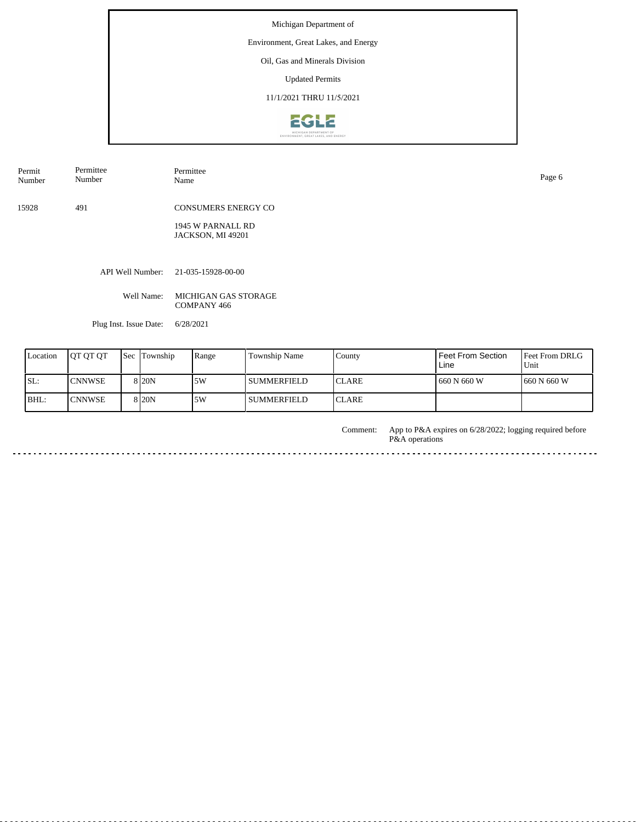#### Environment, Great Lakes, and Energy

Oil, Gas and Minerals Division

Updated Permits

11/1/2021 THRU 11/5/2021



Permit Number Permittee Number

Permittee<br>Name Name Page 6

15928 491 CONSUMERS ENERGY CO

> 1945 W PARNALL RD JACKSON, MI 49201

API Well Number: 21-035-15928-00-00

Well Name: MICHIGAN GAS STORAGE COMPANY 466

Plug Inst. Issue Date: 6/28/2021

| <b>L</b> ocation | <b>IOT OT OT</b> | <b>Sec Township</b> | Range | Township Name | County        | Feet From Section<br>Line | <b>Feet From DRLG</b><br>Unit |
|------------------|------------------|---------------------|-------|---------------|---------------|---------------------------|-------------------------------|
| ISL:             | <b>CNNWSE</b>    | 8 <sub>20</sub> N   | .5W   | l SUMMERFIELD | <b>ICLARE</b> | 660 N 660 W               | 1660 N 660 W                  |
| BHL:             | <b>CNNWSE</b>    | 8 <sub>20</sub> N   | 5W    | l SUMMERFIELD | <b>ICLARE</b> |                           |                               |

Comment:

App to P&A expires on 6/28/2022; logging required before P&A operations

<u>. . . . . . . .</u>

 $\mathbb{Z} \times \mathbb{Z} \times \mathbb{Z}$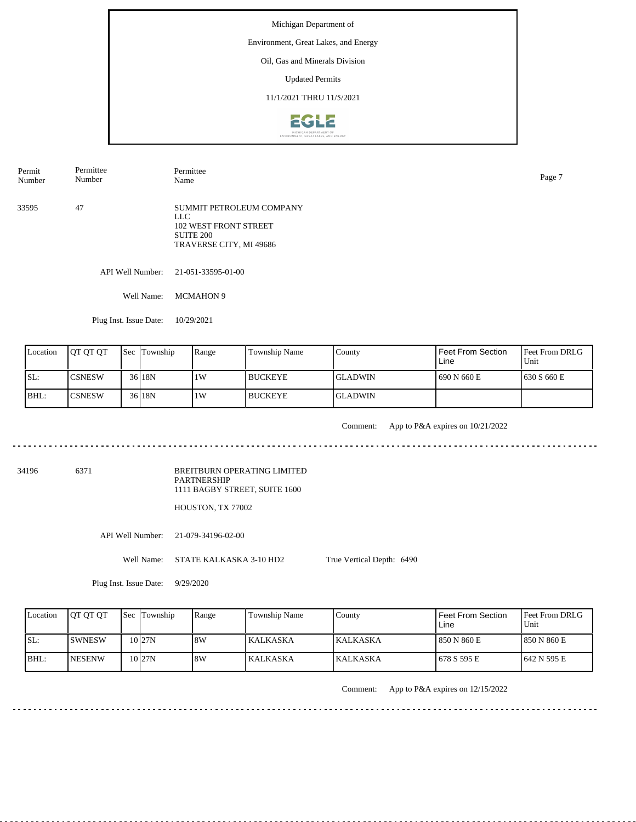Environment, Great Lakes, and Energy

### Oil, Gas and Minerals Division

Updated Permits

11/1/2021 THRU 11/5/2021



| Permit<br>Number | Permittee<br>Number | Permittee<br>Name                                                                                              | Page 7 |
|------------------|---------------------|----------------------------------------------------------------------------------------------------------------|--------|
| 33595            | 47                  | SUMMIT PETROLEUM COMPANY<br>LLC<br><b>102 WEST FRONT STREET</b><br><b>SUITE 200</b><br>TRAVERSE CITY, MI 49686 |        |

API Well Number: 21-051-33595-01-00

Well Name: MCMAHON 9

Plug Inst. Issue Date: 10/29/2021

| Location | <b>IOT OT OT</b> | <b>Sec</b> Township | Range | Township Name  | County          | <b>Feet From Section</b><br>Line | <b>Feet From DRLG</b><br>Unit |
|----------|------------------|---------------------|-------|----------------|-----------------|----------------------------------|-------------------------------|
| ISL:     | <b>ICSNESW</b>   | 36 18N              | 1W    | <b>BUCKEYE</b> | IGLADWIN        | 1690 N 660 E                     | 1630 S 660 E                  |
| BHL:     | <b>ICSNESW</b>   | 36 18N              | 1W    | <b>BUCKEYE</b> | <b>IGLADWIN</b> |                                  |                               |

<u>. . . . . . . . . .</u>

Comment: App to P&A expires on 10/21/2022

34196 6371

BREITBURN OPERATING LIMITED PARTNERSHIP 1111 BAGBY STREET, SUITE 1600

HOUSTON, TX 77002

API Well Number: 21-079-34196-02-00

Well Name: STATE KALKASKA 3-10 HD2

True Vertical Depth: 6490

Plug Inst. Issue Date: 9/29/2020

| Location | <b>OT OT OT</b> | <b>Sec Township</b> | Range | Township Name | Countv           | Feet From Section<br>Line | <b>Feet From DRLG</b><br>Unit |
|----------|-----------------|---------------------|-------|---------------|------------------|---------------------------|-------------------------------|
| SL:      | <b>ISWNESW</b>  | 10 <sub>127N</sub>  | 8W    | KALKASKA      | <b>IKALKASKA</b> | 850 N 860 E               | 1850 N 860 E                  |
| BHL:     | <b>INESENW</b>  | $10$ <sub>27N</sub> | 8W    | KALKASKA      | <b>IKALKASKA</b> | 1678 S 595 E              | 1642 N 595 E                  |

Comment: App to P&A expires on 12/15/2022

<u>. . . . . . . . . . . . . . . . .</u>

. . . . . . . . . . . . . . . . . . .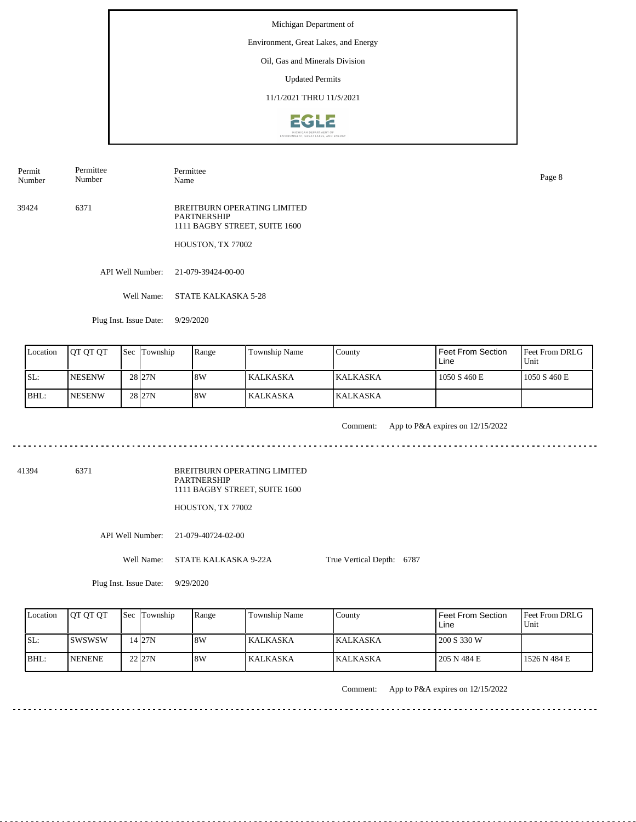Environment, Great Lakes, and Energy

### Oil, Gas and Minerals Division

Updated Permits

11/1/2021 THRU 11/5/2021



Permit Number Permittee Number

Name Page 8

Permittee

39424 6371 BREITBURN OPERATING LIMITED PARTNERSHIP 1111 BAGBY STREET, SUITE 1600

HOUSTON, TX 77002

API Well Number: 21-079-39424-00-00

Well Name: STATE KALKASKA 5-28

Plug Inst. Issue Date: 9/29/2020

| Location | <b>IOT OT OT</b> | <b>Sec</b> Township | Range | Township Name | County           | <b>Feet From Section</b><br>Line | l Feet From DRLG<br>Unit |
|----------|------------------|---------------------|-------|---------------|------------------|----------------------------------|--------------------------|
| SL:      | <b>INESENW</b>   | 28 <sub>27N</sub>   | 18W   | l KALKASKA    | <b>IKALKASKA</b> | 1050 S 460 E                     | 1050 S 460 E             |
| BHL:     | <b>INESENW</b>   | 28 <sub>27N</sub>   | 18W   | KALKASKA      | <b>IKALKASKA</b> |                                  |                          |

<u>. . . . . . . . . .</u>

Comment: App to P&A expires on 12/15/2022

41394 6371

BREITBURN OPERATING LIMITED PARTNERSHIP 1111 BAGBY STREET, SUITE 1600

HOUSTON, TX 77002

API Well Number: 21-079-40724-02-00

Well Name: STATE KALKASKA 9-22A

True Vertical Depth: 6787

Plug Inst. Issue Date: 9/29/2020

| Location | <b>IOT OT OT</b> | Sec Township | Range | Township Name   | County          | <b>Feet From Section</b><br>Line | <b>Feet From DRLG</b><br>Unit |
|----------|------------------|--------------|-------|-----------------|-----------------|----------------------------------|-------------------------------|
| SL:      | ISWSWSW          | 14 I 27 N    | 18W   | <b>KALKASKA</b> | <b>KALKASKA</b> | 200 S 330 W                      |                               |
| BHL:     | <b>NENENE</b>    | $22$ $27N$   | 18W   | <b>KALKASKA</b> | <b>KALKASKA</b> | 205 N 484 E                      | 1526 N 484 E                  |

Comment: App to P&A expires on 12/15/2022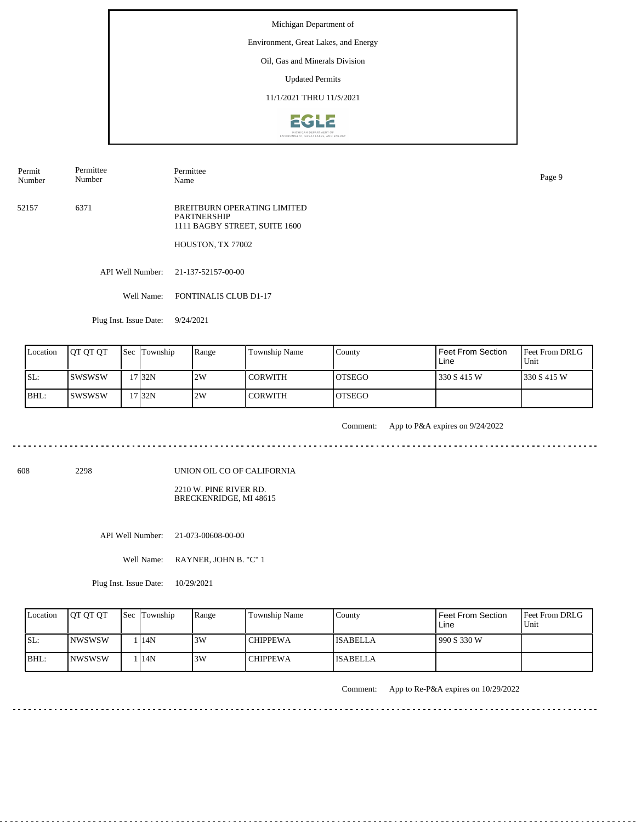#### Environment, Great Lakes, and Energy

## Oil, Gas and Minerals Division

Updated Permits

#### 11/1/2021 THRU 11/5/2021



Permit Number Permittee Number

Permittee Name Page 9

52157 6371 BREITBURN OPERATING LIMITED PARTNERSHIP 1111 BAGBY STREET, SUITE 1600

HOUSTON, TX 77002

API Well Number: 21-137-52157-00-00

Well Name: FONTINALIS CLUB D1-17

Plug Inst. Issue Date: 9/24/2021

| Location | <b>IOT OT OT</b> | <b>Sec Township</b> | Range | Township Name  | County  | Feet From Section<br>Line | <b>Feet From DRLG</b><br>Unit |
|----------|------------------|---------------------|-------|----------------|---------|---------------------------|-------------------------------|
| ISL:     | <b>ISWSWSW</b>   | '7132N              | 2W    | <b>CORWITH</b> | IOTSEGO | 330 S 415 W               | 1330 S 415 W                  |
| BHL:     | ISWSWSW          | $17$  32N           | 2W    | <b>CORWITH</b> | IOTSEGO |                           |                               |

<u>. . . . . . .</u>

Comment: App to P&A expires on 9/24/2022

608 2298

UNION OIL CO OF CALIFORNIA

2210 W. PINE RIVER RD. BRECKENRIDGE, MI 48615

API Well Number: 21-073-00608-00-00

Well Name: RAYNER, JOHN B. "C" 1

Plug Inst. Issue Date: 10/29/2021

| Location | <b>OT OT OT</b> | <b>Sec</b> Township | Range | Township Name   | County          | Feet From Section<br>∟ine | <b>Feet From DRLG</b><br>Unit |
|----------|-----------------|---------------------|-------|-----------------|-----------------|---------------------------|-------------------------------|
| ISL:     | <b>INWSWSW</b>  | 14N                 | 3W    | <b>CHIPPEWA</b> | <b>ISABELLA</b> | 990 S 330 W               |                               |
| BHL:     | <b>INWSWSW</b>  | 14N                 | 3W    | <b>CHIPPEWA</b> | <b>ISABELLA</b> |                           |                               |

Comment: App to Re-P&A expires on 10/29/2022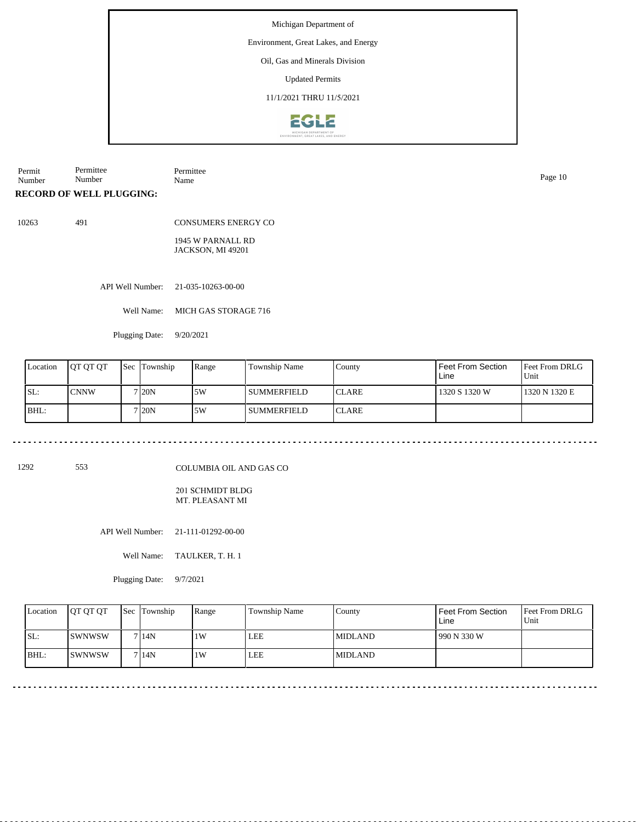Environment, Great Lakes, and Energy

Oil, Gas and Minerals Division

Updated Permits

11/1/2021 THRU 11/5/2021



Permit Number Permittee Number Permittee Name Page 10

**RECORD OF WELL PLUGGING:**

10263 491

CONSUMERS ENERGY CO

1945 W PARNALL RD JACKSON, MI 49201

API Well Number: 21-035-10263-00-00

Well Name: MICH GAS STORAGE 716

Plugging Date: 9/20/2021

| Location | <b>JOT OT OT</b> | <b>Sec Township</b> | Range | Township Name      | County        | l Feet From Section<br>Line | <b>IFeet From DRLG</b><br>Unit |
|----------|------------------|---------------------|-------|--------------------|---------------|-----------------------------|--------------------------------|
| ISL:     | <b>CNNW</b>      | 7 <sub>120</sub> N  | 5W    | SUMMERFIELD        | ICLARE        | 1320 S 1320 W               | 1320 N 1320 E                  |
| BHL:     |                  | 7 I20N              | 5W    | <b>SUMMERFIELD</b> | <b>ICLARE</b> |                             |                                |

 $\sim$   $\sim$   $\sim$ 

1292 553

COLUMBIA OIL AND GAS CO

201 SCHMIDT BLDG MT. PLEASANT MI

API Well Number: 21-111-01292-00-00

Well Name: TAULKER, T. H. 1

Plugging Date: 9/7/2021

| Location | <b>OT OT OT</b> | Sec Township | Range | <b>Township Name</b> | County         | <b>Feet From Section</b><br>Line | <b>Feet From DRLG</b><br>Unit |
|----------|-----------------|--------------|-------|----------------------|----------------|----------------------------------|-------------------------------|
| ISL:     | <b>ISWNWSW</b>  | 7 14N        | ١W    | LEE                  | <b>MIDLAND</b> | 990 N 330 W                      |                               |
| BHL:     | <b>ISWNWSW</b>  | 7 14N        | ١W    | LEE                  | <b>MIDLAND</b> |                                  |                               |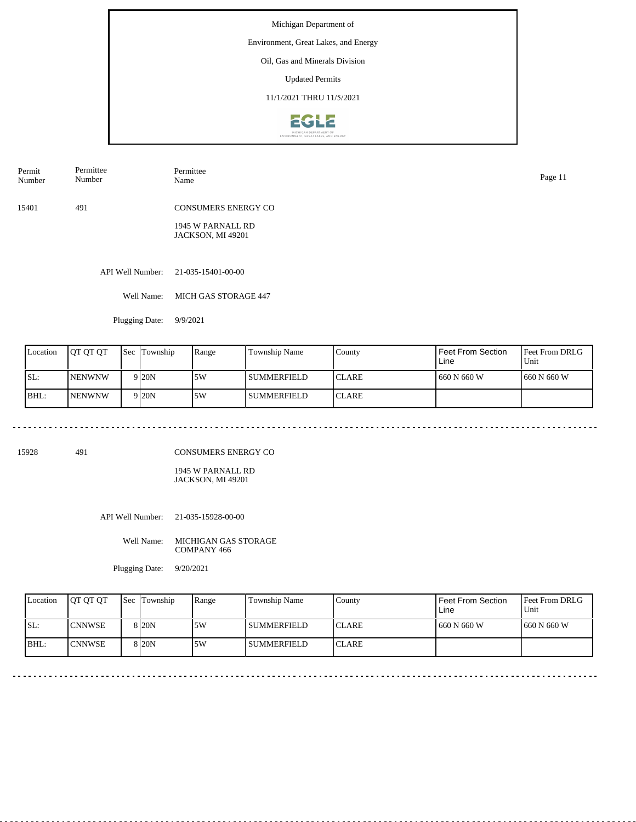Environment, Great Lakes, and Energy

# Oil, Gas and Minerals Division

Updated Permits

11/1/2021 THRU 11/5/2021



15401 491 CONSUMERS ENERGY CO Permit Number Permittee Number Permittee Name Page 11

1945 W PARNALL RD JACKSON, MI 49201

API Well Number: 21-035-15401-00-00

Well Name: MICH GAS STORAGE 447

Plugging Date: 9/9/2021

| Location | IOT OT OT      | <b>Sec Township</b> | Range | <b>Township Name</b> | County        | Feet From Section<br>Line | <b>IFeet From DRLG</b><br>Unit |
|----------|----------------|---------------------|-------|----------------------|---------------|---------------------------|--------------------------------|
| SL:      | <b>INENWNW</b> | 9 <sub>20</sub> N   | 5W    | l summerfield        | <b>ICLARE</b> | 660 N 660 W               | 1660 N 660 W                   |
| BHL:     | <b>INENWNW</b> | 9 <sub>20</sub> N   | .5W   | l summerfield        | <b>CLARE</b>  |                           |                                |

15928 491

CONSUMERS ENERGY CO

1945 W PARNALL RD JACKSON, MI 49201

API Well Number: 21-035-15928-00-00

Well Name: MICHIGAN GAS STORAGE COMPANY 466

Plugging Date: 9/20/2021

| Location | <b>IOT OT OT</b> | <b>Sec</b> Township | Range | Township Name      | Countv        | <b>Feet From Section</b><br>Line | <b>Feet From DRLG</b><br>Unit |
|----------|------------------|---------------------|-------|--------------------|---------------|----------------------------------|-------------------------------|
| SL:      | <b>I</b> CNNWSE  | 8 I 20 N            | 5W    | <b>SUMMERFIELD</b> | <b>ICLARE</b> | 660 N 660 W                      | 1660 N 660 W                  |
| $ BHL$ : | <b>ICNNWSE</b>   | 8 I 20 N            | 5W    | <b>SUMMERFIELD</b> | <b>ICLARE</b> |                                  |                               |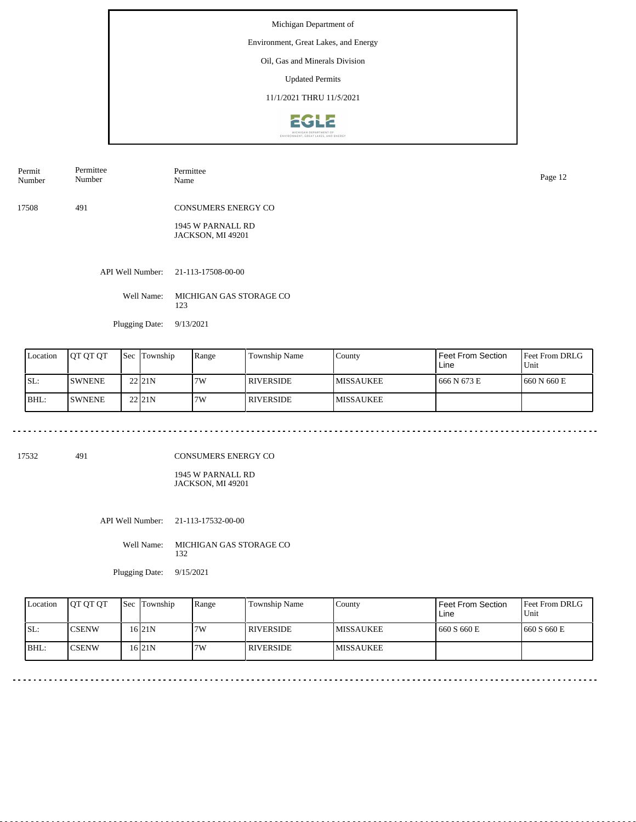Environment, Great Lakes, and Energy

## Oil, Gas and Minerals Division

Updated Permits

11/1/2021 THRU 11/5/2021



Permit Number Permittee Number Permittee Name Page 12

17508 491 CONSUMERS ENERGY CO

> 1945 W PARNALL RD JACKSON, MI 49201

API Well Number: 21-113-17508-00-00

Well Name: MICHIGAN GAS STORAGE CO 123

Plugging Date: 9/13/2021

| Location | <b>OT OT OT</b> | <b>Sec</b> | Township | Range | Township Name    | County            | Feet From Section<br>Line | <b>Feet From DRLG</b><br>Unit |
|----------|-----------------|------------|----------|-------|------------------|-------------------|---------------------------|-------------------------------|
| ISL:     | <b>SWNENE</b>   |            | 221N     | 7W    | RIVERSIDE        | <b>IMISSAUKEE</b> | 666 N 673 E               | 1660 N 660 E                  |
| BHL:     | <b>SWNENE</b>   |            | 2211N    | 7W    | <b>RIVERSIDE</b> | <b>IMISSAUKEE</b> |                           |                               |

17532 491

 $\frac{1}{2} \left( \frac{1}{2} \right) \left( \frac{1}{2} \right) \left( \frac{1}{2} \right) \left( \frac{1}{2} \right) \left( \frac{1}{2} \right)$ 

CONSUMERS ENERGY CO

1945 W PARNALL RD JACKSON, MI 49201

API Well Number: 21-113-17532-00-00

Well Name: MICHIGAN GAS STORAGE CO 132

Plugging Date: 9/15/2021

| Location | <b>IOT OT OT</b> | <b>Sec Township</b> | Range | Township Name    | County            | Feet From Section<br>Line | <b>Feet From DRLG</b><br>Unit |
|----------|------------------|---------------------|-------|------------------|-------------------|---------------------------|-------------------------------|
| SL:      | ICSENW           | 16 <sub>21N</sub>   | 7W    | <b>RIVERSIDE</b> | <b>IMISSAUKEE</b> | 1660 S 660 E              | 1660 S 660 E                  |
| BHL      | ICSENW           | 16 <sub>21N</sub>   | 7W    | <b>RIVERSIDE</b> | <b>IMISSAUKEE</b> |                           |                               |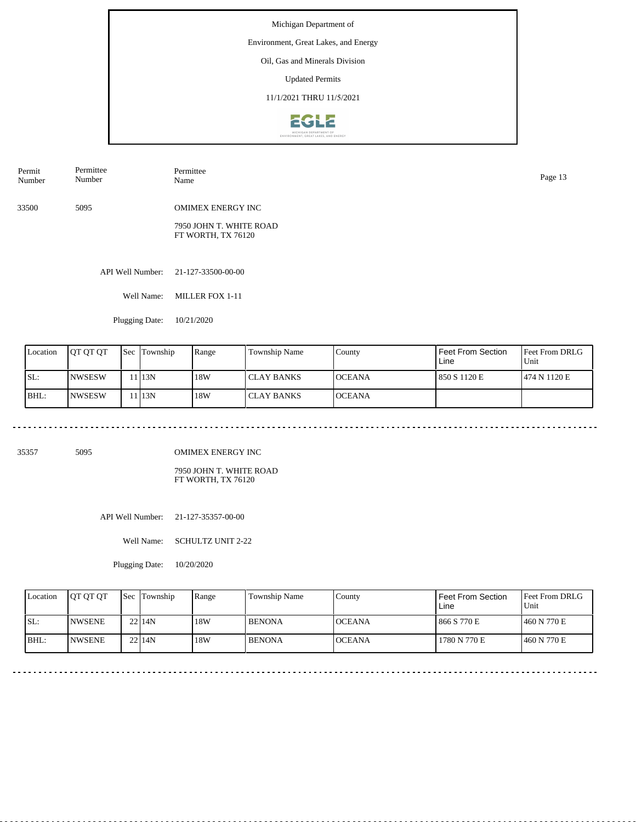Environment, Great Lakes, and Energy

## Oil, Gas and Minerals Division

Updated Permits

11/1/2021 THRU 11/5/2021



33500 5095 OMIMEX ENERGY INC 7950 JOHN T. WHITE ROAD FT WORTH, TX 76120 Permit Number Permittee Number Permittee Page 13<br>Name Page 13

API Well Number: 21-127-33500-00-00

Well Name: MILLER FOX 1-11

Plugging Date: 10/21/2020

| Location | <b>IOT OT OT</b> | <b>Sec</b> | Township  | Range | <b>Township Name</b> | County         | Feet From Section<br>Line | <b>Feet From DRLG</b><br>Unit |
|----------|------------------|------------|-----------|-------|----------------------|----------------|---------------------------|-------------------------------|
| SL:      | <b>INWSESW</b>   |            | 1 1 1 3 N | 18W   | l CLAY BANKS         | <b>IOCEANA</b> | 850 S 1120 E              | 474 N 1120 E                  |
| BHL:     | INWSESW          |            | 113N      | 18W   | l CLAY BANKS         | <b>OCEANA</b>  |                           |                               |

35357 5095

OMIMEX ENERGY INC

7950 JOHN T. WHITE ROAD FT WORTH, TX 76120

API Well Number: 21-127-35357-00-00

Well Name: SCHULTZ UNIT 2-22

Plugging Date: 10/20/2020

| Location | <b>IOT OT OT</b> | <b>Sec</b> Township | Range | Township Name | Countv        | <b>Feet From Section</b><br>Line | <b>Feet From DRLG</b><br>Unit |
|----------|------------------|---------------------|-------|---------------|---------------|----------------------------------|-------------------------------|
| ISL:     | <b>INWSENE</b>   | 22114N              | 18W   | <b>BENONA</b> | <b>OCEANA</b> | 866 S 770 E                      | 1460 N 770 E                  |
| BHL:     | <b>INWSENE</b>   | 22114N              | 18W   | <b>BENONA</b> | <b>OCEANA</b> | 1780 N 770 E                     | 1460 N 770 E                  |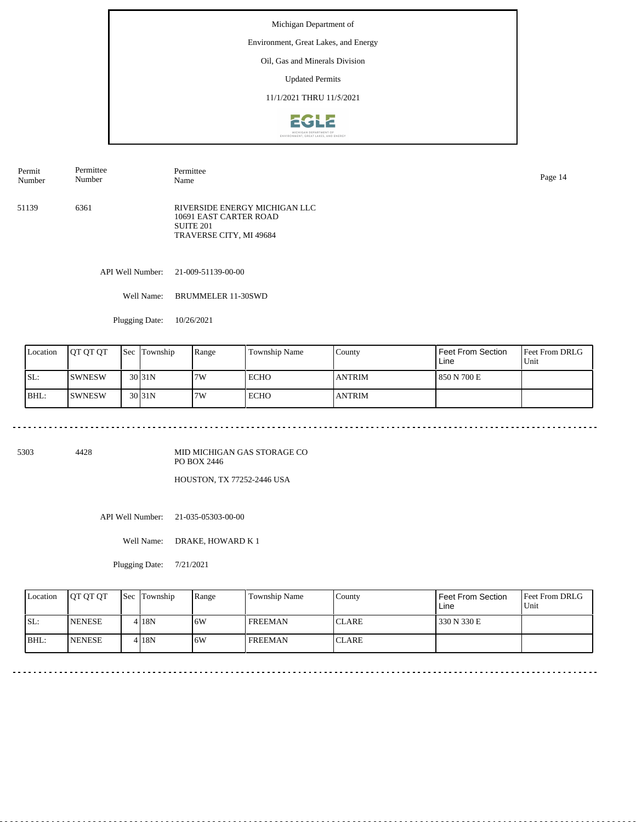#### Environment, Great Lakes, and Energy

Oil, Gas and Minerals Division

Updated Permits

11/1/2021 THRU 11/5/2021



51139 6361 RIVERSIDE ENERGY MICHIGAN LLC 10691 EAST CARTER ROAD SUITE 201 TRAVERSE CITY, MI 49684 Permit Number Permittee Number Permittee Name Page 14

API Well Number: 21-009-51139-00-00

Well Name: BRUMMELER 11-30SWD

Plugging Date: 10/26/2021

. . . . . . . . . . . . . . . .

| Location | IOT OT OT     | <b>Sec Township</b> | Range | Township Name | County        | Feet From Section<br>Line | <b>Feet From DRLG</b><br>Unit |
|----------|---------------|---------------------|-------|---------------|---------------|---------------------------|-------------------------------|
| SL:      | <b>SWNESW</b> | 30 <sub>31N</sub>   | 7W    | <b>ECHO</b>   | <b>ANTRIM</b> | 850 N 700 E               |                               |
| BHL:     | ISWNESW       | 30 <sub>31N</sub>   | 7W    | <b>ECHO</b>   | <b>ANTRIM</b> |                           |                               |

5303 4428

MID MICHIGAN GAS STORAGE CO PO BOX 2446

HOUSTON, TX 77252-2446 USA

API Well Number: 21-035-05303-00-00

Well Name: DRAKE, HOWARD K 1

Plugging Date: 7/21/2021

| Location | <b>IOT OT OT</b> | <b>Sec Township</b> | Range | Township Name  | County        | Feet From Section<br>Line | <b>Feet From DRLG</b><br>Unit |
|----------|------------------|---------------------|-------|----------------|---------------|---------------------------|-------------------------------|
| ISL:     | <b>INENESE</b>   | 4 18N               | .6W   | <b>FREEMAN</b> | <b>ICLARE</b> | 330 N 330 E               |                               |
| BHL:     | <b>NENESE</b>    | 4 18N               | 6W    | <b>FREEMAN</b> | <b>CLARE</b>  |                           |                               |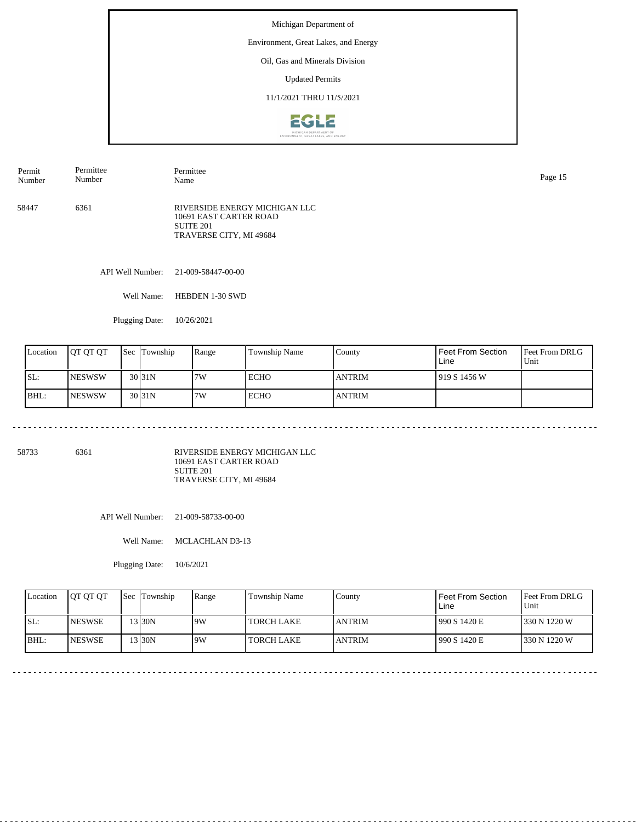#### Environment, Great Lakes, and Energy

### Oil, Gas and Minerals Division

Updated Permits

#### 11/1/2021 THRU 11/5/2021



58447 6361 RIVERSIDE ENERGY MICHIGAN LLC 10691 EAST CARTER ROAD SUITE 201 TRAVERSE CITY, MI 49684 Permit Number Permittee Number Permittee Name Page 15

API Well Number: 21-009-58447-00-00

Well Name: HEBDEN 1-30 SWD

Plugging Date: 10/26/2021

| Location | <b>IOT OT OT</b> | <b>Sec</b> | Township           | Range | Township Name | County        | Feet From Section<br>Line | <b>Feet From DRLG</b><br>Unit |
|----------|------------------|------------|--------------------|-------|---------------|---------------|---------------------------|-------------------------------|
| ISL:     | <b>INESWSW</b>   |            | $30\overline{31N}$ | 7W    | ECHO          | <b>ANTRIM</b> | 1919 S 1456 W             |                               |
| BHL:     | <b>INESWSW</b>   |            | $30\overline{31N}$ | 7W    | <b>ECHO</b>   | <b>ANTRIM</b> |                           |                               |

58733 6361

RIVERSIDE ENERGY MICHIGAN LLC 10691 EAST CARTER ROAD SUITE 201 TRAVERSE CITY, MI 49684

API Well Number: 21-009-58733-00-00

Well Name: MCLACHLAN D3-13

Plugging Date: 10/6/2021

| Location | <b>IOT OT OT</b> | <b>Sec</b> Township | Range | Township Name     | County         | <b>Feet From Section</b><br>Line | <b>IFeet From DRLG</b><br>Unit |
|----------|------------------|---------------------|-------|-------------------|----------------|----------------------------------|--------------------------------|
| ISL:     | <b>INESWSE</b>   | $3$ 30N             | 19W   | <b>TORCH LAKE</b> | <b>JANTRIM</b> | 990 S 1420 E                     | 1330 N 1220 W                  |
| BHL:     | <b>INESWSE</b>   | $3$ 30N             | 9W    | <b>TORCH LAKE</b> | <b>JANTRIM</b> | 990 S 1420 E                     | 1330 N 1220 W                  |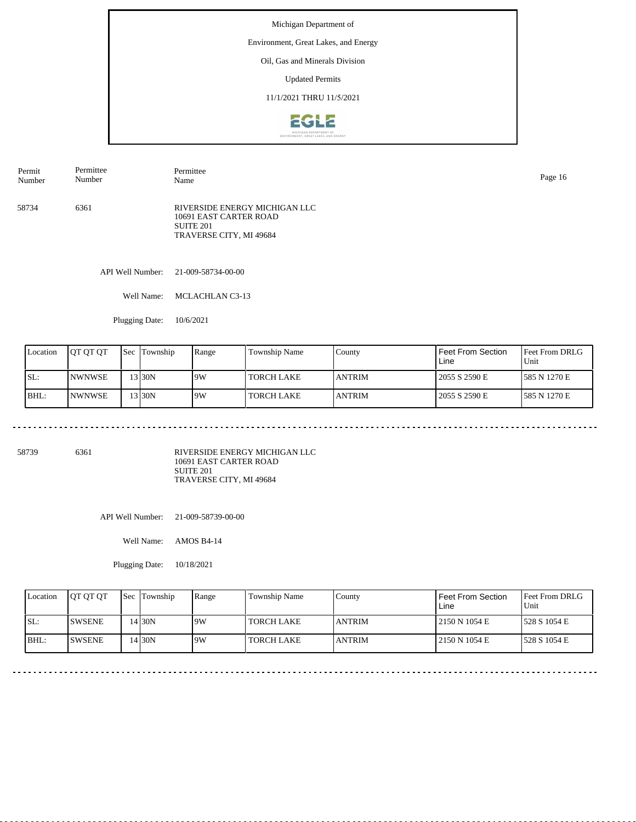#### Environment, Great Lakes, and Energy

Oil, Gas and Minerals Division

Updated Permits

11/1/2021 THRU 11/5/2021



58734 6361 RIVERSIDE ENERGY MICHIGAN LLC 10691 EAST CARTER ROAD SUITE 201 TRAVERSE CITY, MI 49684 Permit Number Permittee Number Permittee Name Page 16

API Well Number: 21-009-58734-00-00

Well Name: MCLACHLAN C3-13

Plugging Date: 10/6/2021

| Location | IOT OT OT             | <b>Sec</b> | Township | Range | Township Name     | County         | Feet From Section<br>Line | <b>Feet From DRLG</b><br>Unit |
|----------|-----------------------|------------|----------|-------|-------------------|----------------|---------------------------|-------------------------------|
| ISL:     | <i><b>NWNWSE</b></i>  |            | 3130N    | 19W   | TORCH LAKE_       | <b>JANTRIM</b> | 2055 S 2590 E             | 1585 N 1270 E                 |
| BHL:     | <i><b>INWNWSE</b></i> |            | 3130N    | 19W   | <b>TORCH LAKE</b> | <b>JANTRIM</b> | 2055 S 2590 E             | 585 N 1270 E                  |

58739 6361

RIVERSIDE ENERGY MICHIGAN LLC 10691 EAST CARTER ROAD SUITE 201 TRAVERSE CITY, MI 49684

API Well Number: 21-009-58739-00-00

Well Name: AMOS B4-14

Plugging Date: 10/18/2021

| Location | <b>OT OT OT</b> | <b>Sec Township</b> | Range | Township Name     | County         | Feet From Section<br>Line | <b>IFeet From DRLG</b><br>Unit |
|----------|-----------------|---------------------|-------|-------------------|----------------|---------------------------|--------------------------------|
| ISL:     | <b>ISWSENE</b>  | 14 30N              | 9W    | <b>TORCH LAKE</b> | <b>JANTRIM</b> | 2150 N 1054 E             | 1528 S 1054 E                  |
| BHL:     | <b>ISWSENE</b>  | 4 30N               | 9W    | <b>TORCH LAKE</b> | <b>JANTRIM</b> | 2150 N 1054 E             | 1528 S 1054 E                  |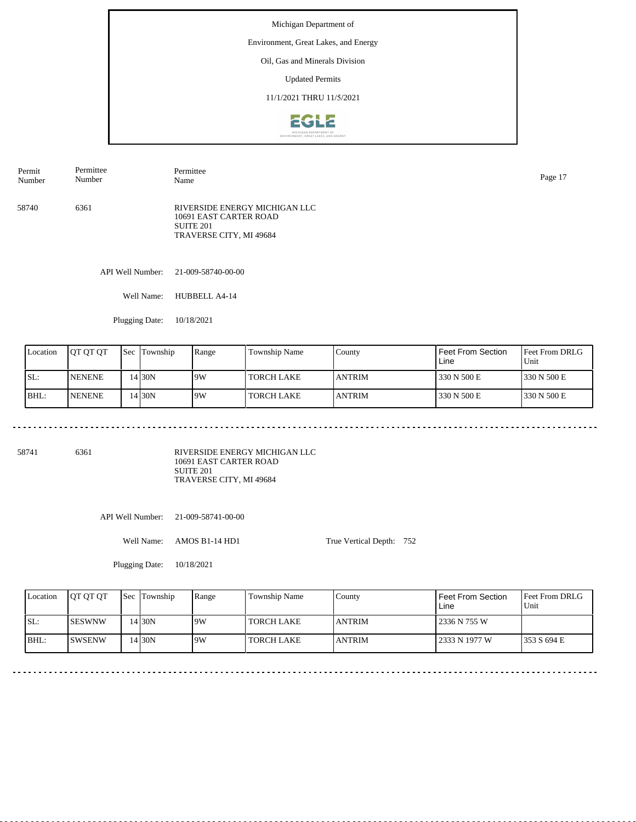#### Environment, Great Lakes, and Energy

### Oil, Gas and Minerals Division

Updated Permits

### 11/1/2021 THRU 11/5/2021



| Permit<br>Number | Permittee<br>Number | Permittee<br>Name                                                                                          | Page 17 |
|------------------|---------------------|------------------------------------------------------------------------------------------------------------|---------|
| 58740            | 6361                | RIVERSIDE ENERGY MICHIGAN LLC<br>10691 EAST CARTER ROAD<br>SUITE <sub>201</sub><br>TRAVERSE CITY, MI 49684 |         |

API Well Number: 21-009-58740-00-00

Well Name: HUBBELL A4-14

Plugging Date: 10/18/2021

| Location | <b>IOT OT OT</b> | Sec | Township | Range | Township Name     | County         | Feet From Section<br>Line | <b>Feet From DRLG</b><br>Unit |
|----------|------------------|-----|----------|-------|-------------------|----------------|---------------------------|-------------------------------|
| ISL:     | <b>NENENE</b>    |     | 4130N    | 9W    | <b>TORCH LAKE</b> | <b>LANTRIM</b> | 330 N 500 E               | 1330 N 500 E                  |
| BHL:     | <b>NENENE</b>    |     | 4130N    | 19W   | <b>TORCH LAKE</b> | <b>ANTRIM</b>  | 330 N 500 E               | 1330 N 500 E                  |

58741 6361

RIVERSIDE ENERGY MICHIGAN LLC 10691 EAST CARTER ROAD SUITE 201 TRAVERSE CITY, MI 49684

API Well Number: 21-009-58741-00-00

Well Name: AMOS B1-14 HD1

Plugging Date: 10/18/2021

True Vertical Depth: 752

| Location | <b>IOT OT OT</b> | <b>Sec</b> Township | Range | <b>Township Name</b> | Countv         | Feet From Section<br>Line | Feet From DRLG<br>Unit |
|----------|------------------|---------------------|-------|----------------------|----------------|---------------------------|------------------------|
| ISL:     | ISESWNW          | 14 30 N             | 9W    | <b>TORCH LAKE</b>    | <b>ANTRIM</b>  | 2336 N 755 W              |                        |
| IBHL     | ISWSENW          | 14 30N              | 9W    | <b>TORCH LAKE</b>    | <b>LANTRIM</b> | 2333 N 1977 W             | 1353 S 694 E           |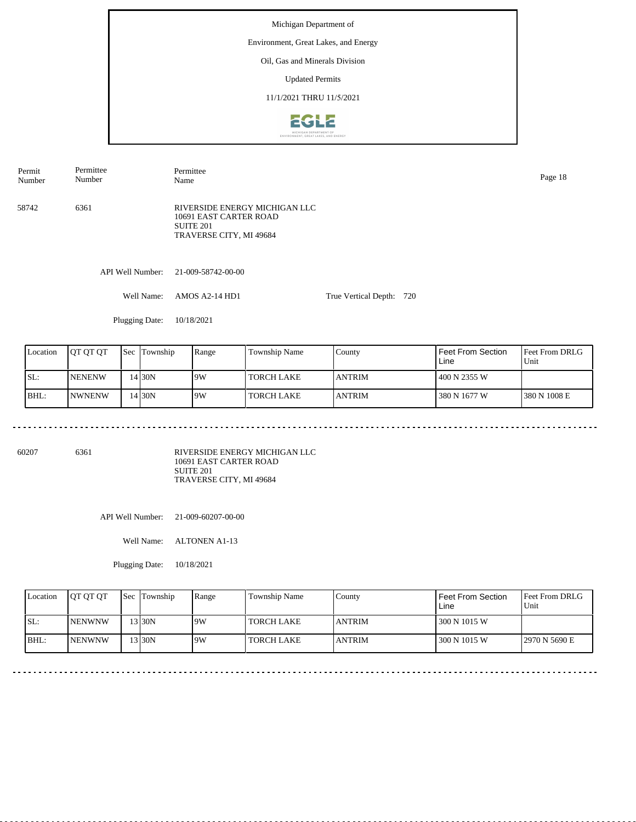#### Environment, Great Lakes, and Energy

### Oil, Gas and Minerals Division

Updated Permits

#### 11/1/2021 THRU 11/5/2021



58742 6361 RIVERSIDE ENERGY MICHIGAN LLC 10691 EAST CARTER ROAD Permit Number Permittee Number Permittee Name Page 18

SUITE 201 TRAVERSE CITY, MI 49684

API Well Number: 21-009-58742-00-00

Well Name: AMOS A2-14 HD1 True Vertical Depth: 720

Plugging Date: 10/18/2021

| Location | IOT OT OT      | <b>Sec</b> | Township | Range | Township Name     | County         | Feet From Section<br>Line | <b>Feet From DRLG</b><br>Unit |
|----------|----------------|------------|----------|-------|-------------------|----------------|---------------------------|-------------------------------|
| ISL:     | <b>INENENW</b> |            | 14 30N   | 19W   | <b>TORCH LAKE</b> | <b>LANTRIM</b> | 400 N 2355 W              |                               |
| BHL:     | <b>INWNENW</b> |            | 14 30N   | 9W    | TORCH LAKE        | <b>LANTRIM</b> | 380 N 1677 W              | 1380 N 1008 E                 |

60207 6361

RIVERSIDE ENERGY MICHIGAN LLC 10691 EAST CARTER ROAD SUITE 201 TRAVERSE CITY, MI 49684

API Well Number: 21-009-60207-00-00

Well Name: ALTONEN A1-13

Plugging Date: 10/18/2021

| Location | <b>IOT OT OT</b> | <b>Sec Township</b> | Range | Township Name     | County         | Feet From Section<br>Line | <b>Feet From DRLG</b><br>Unit |
|----------|------------------|---------------------|-------|-------------------|----------------|---------------------------|-------------------------------|
| ISL:     | <b>INENWNW</b>   | '3130N              | 9W    | <b>TORCH LAKE</b> | <b>LANTRIM</b> | 300 N 1015 W              |                               |
| BHL:     | <b>INENWNW</b>   | 13 30N              | 9W    | <b>TORCH LAKE</b> | <b>ANTRIM</b>  | 300 N 1015 W              | 2970 N 5690 E                 |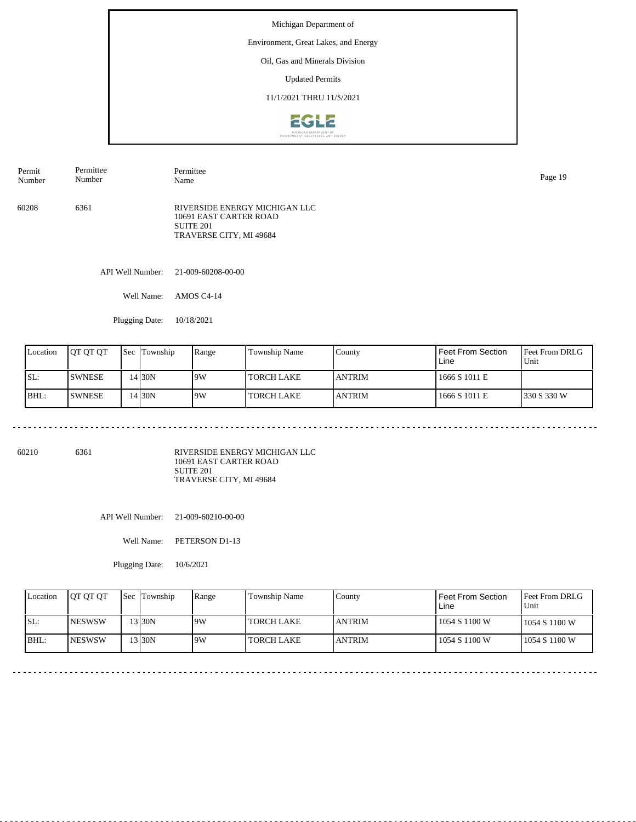#### Environment, Great Lakes, and Energy

Oil, Gas and Minerals Division

Updated Permits

11/1/2021 THRU 11/5/2021



| Permit | Permittee | Permittee                                                                                       | Page 19 |
|--------|-----------|-------------------------------------------------------------------------------------------------|---------|
| Number | Number    | Name                                                                                            |         |
| 60208  | 6361      | RIVERSIDE ENERGY MICHIGAN LLC<br>10691 EAST CARTER ROAD<br>SUITE 201<br>TRAVERSE CITY, MI 49684 |         |

API Well Number: 21-009-60208-00-00

Well Name: AMOS C4-14

Plugging Date: 10/18/2021

| Location | <b>JOT OT OT</b> | <b>Sec</b> | Township | Range | Township Name     | County         | Feet From Section<br>Line | <b>Feet From DRLG</b><br>Unit |
|----------|------------------|------------|----------|-------|-------------------|----------------|---------------------------|-------------------------------|
| ISL:     | <b>SWNESE</b>    |            | 4130N    | 9W    | <b>TORCH LAKE</b> | <b>LANTRIM</b> | 1666 S 1011 E             |                               |
| BHL:     | <b>SWNESE</b>    |            | 4130N    | 9W    | TORCH LAKE        | <b>LANTRIM</b> | 1666 S 1011 E             | 1330 S 330 W                  |

60210 6361

RIVERSIDE ENERGY MICHIGAN LLC 10691 EAST CARTER ROAD SUITE 201 TRAVERSE CITY, MI 49684

API Well Number: 21-009-60210-00-00

Well Name: PETERSON D1-13

Plugging Date: 10/6/2021

| Location | <b>OT OT OT</b> | Sec Township | Range | Township Name | County         | <b>Feet From Section</b><br>Line | <b>IFeet From DRLG</b><br>Unit |
|----------|-----------------|--------------|-------|---------------|----------------|----------------------------------|--------------------------------|
| ISL:     | <b>INESWSW</b>  | 13 30N       | 9W    | TORCH LAKE    | <b>LANTRIM</b> | 1054 S 1100 W                    | 1054 S 1100 W                  |
| BHL:     | <b>INESWSW</b>  | $3$ 30N      | 9W    | TORCH LAKE    | <b>JANTRIM</b> | 1054 S 1100 W                    | 1054 S 1100 W                  |

<u>. . . . . . . . . . .</u>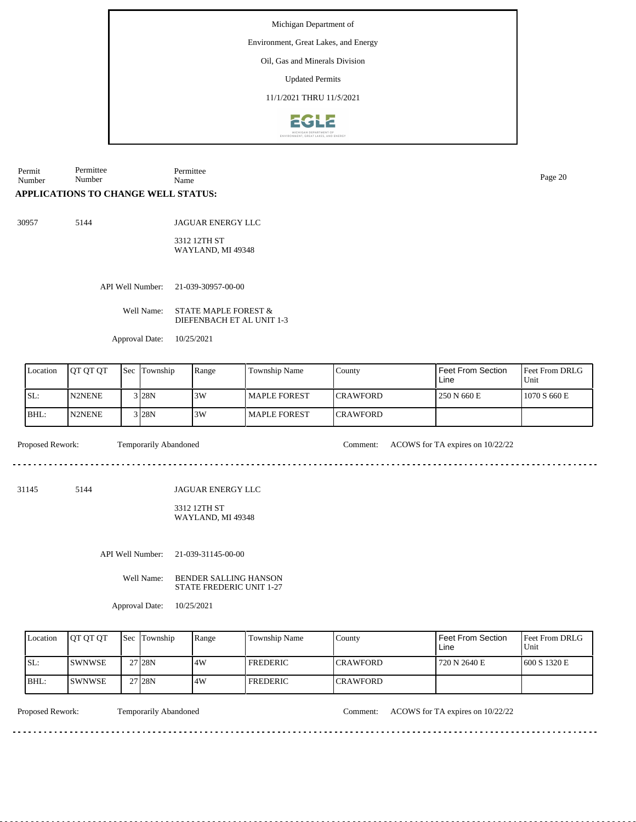Environment, Great Lakes, and Energy

Oil, Gas and Minerals Division

Updated Permits

11/1/2021 THRU 11/5/2021



Permit Number Permittee Number Permittee Name Page 20

#### **APPLICATIONS TO CHANGE WELL STATUS:**

30957 5144

JAGUAR ENERGY LLC 3312 12TH ST WAYLAND, MI 49348

API Well Number: 21-039-30957-00-00

Well Name: STATE MAPLE FOREST & DIEFENBACH ET AL UNIT 1-3

Approval Date: 10/25/2021

| Location | <b>IOT OT OT</b> | 'Sec | Township            | Range | Township Name | County           | Feet From Section<br>Line | <b>IFeet From DRLG</b><br>Unit |
|----------|------------------|------|---------------------|-------|---------------|------------------|---------------------------|--------------------------------|
| SL:      | N2NENE           |      | $3$ <sub>28</sub> N | 3W    | MAPLE FOREST  | <b>ICRAWFORD</b> | 250 N 660 E               | 1070 S 660 E                   |
| BHL:     | <b>N2NENE</b>    |      | $3$ <sub>28</sub> N | 3W    | MAPLE FOREST  | <b>ICRAWFORD</b> |                           |                                |

Proposed Rework: Temporarily Abandoned Comment: ACOWS for TA expires on  $10/22/22$ 

31145 5144

JAGUAR ENERGY LLC

#### 3312 12TH ST WAYLAND, MI 49348

API Well Number: 21-039-31145-00-00

Well Name: BENDER SALLING HANSON STATE FREDERIC UNIT 1-27

Approval Date: 10/25/2021

| Location | <b>IOT OT OT</b> | <b>Sec</b> Township | Range | Township Name | Countv           | Feet From Section<br>Line | <b>Feet From DRLG</b><br>Unit |
|----------|------------------|---------------------|-------|---------------|------------------|---------------------------|-------------------------------|
| ISL:     | ISWNWSE.         | 27 <sub>128N</sub>  | 4W    | FREDERIC      | <b>ICRAWFORD</b> | 720 N 2640 E              | 1600 S 1320 E                 |
| IBHL:    | <b>ISWNWSE</b>   | 27 <sub>28N</sub>   | .4W   | FREDERIC      | <b>CRAWFORD</b>  |                           |                               |

Proposed Rework: Temporarily Abandoned Comment: ACOWS for TA expires on  $10/22/22$ 

<u>. . . . . . . . .</u>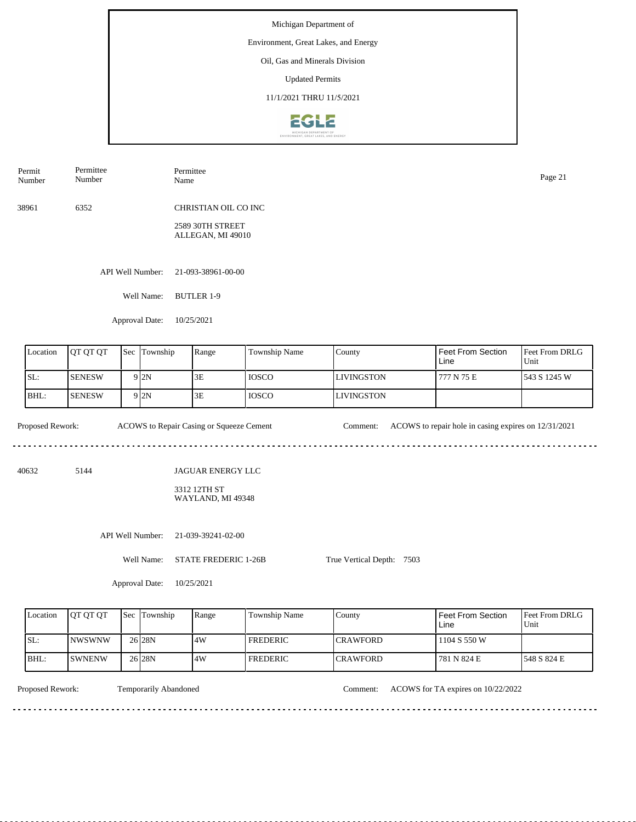Michigan Department of Environment, Great Lakes, and Energy Oil, Gas and Minerals Division Updated Permits 11/1/2021 THRU 11/5/2021



| Permit<br>Number | Permittee<br>Number | Permittee<br>Name                     | Page 21 |
|------------------|---------------------|---------------------------------------|---------|
| 38961            | 6352                | CHRISTIAN OIL CO INC                  |         |
|                  |                     | 2589 30TH STREET<br>ALLEGAN, MI 49010 |         |
|                  | API Well Number:    | 21-093-38961-00-00                    |         |
|                  | Well Name:          | BUTLER 1-9                            |         |

Feet From DRLG Unit 777 N 75 E 543 S 1245 W Feet From Section Line County LIVINGSTON LIVINGSTON Location QT QT QT Sec Township Range Township Name SL: BHL: SENESW SENESW Sec Township 9 2N  $9$  2N  $3E$ 3E IOSCO IOSCO

. . . . . . . . . . . . .

Proposed Rework: ACOWS to Repair Casing or Squeeze Cement Comment: ACOWS to repair hole in casing expires on 12/31/2021

<u>. . . . . . .</u>

40632 5144

JAGUAR ENERGY LLC

3312 12TH ST WAYLAND, MI 49348

API Well Number: 21-039-39241-02-00

Approval Date: 10/25/2021

Well Name: STATE FREDERIC 1-26B

Approval Date: 10/25/2021

| Location | <b>OT OT OT</b> | <b>Sec</b> Township | Range | Township Name   | County           | <b>Feet From Section</b><br>Line | <b>IFeet From DRLG</b><br>Unit |
|----------|-----------------|---------------------|-------|-----------------|------------------|----------------------------------|--------------------------------|
| SL:      | INWSWNW         | 26 <sub>28N</sub>   | 14W   | I FREDERIC      | <b>CRAWFORD</b>  | 1104 S 550 W                     |                                |
| BHL      | <b>SWNENW</b>   | 26 <sub>28N</sub>   | 14W   | <b>FREDERIC</b> | <b>ICRAWFORD</b> | 781 N 824 E                      | 1548 S 824 E                   |

True Vertical Depth: 7503

Temporarily Abandoned

Proposed Rework: Temporarily Abandoned Comment: ACOWS for TA expires on 10/22/2022

<u>. . . . . . . .</u>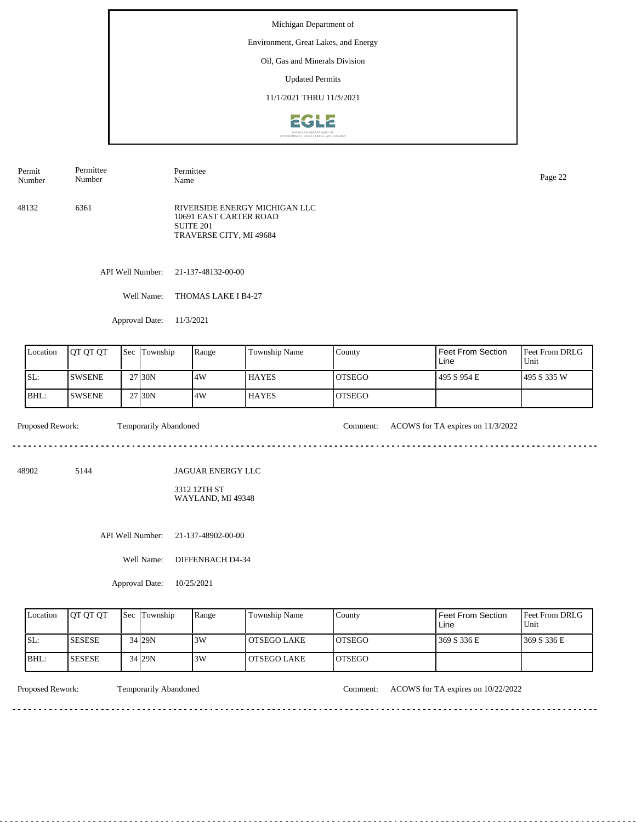Environment, Great Lakes, and Energy

### Oil, Gas and Minerals Division

Updated Permits

11/1/2021 THRU 11/5/2021



| Permit<br>Number | Permittee<br>Number | Permittee<br>Name                                                                               | Page 22 |
|------------------|---------------------|-------------------------------------------------------------------------------------------------|---------|
| 48132            | 6361                | RIVERSIDE ENERGY MICHIGAN LLC<br>10691 EAST CARTER ROAD<br>SUITE 201<br>TRAVERSE CITY, MI 49684 |         |

API Well Number: 21-137-48132-00-00

Well Name: THOMAS LAKE I B4-27

Approval Date: 11/3/2021

| Location | IOT OT OT      | <b>Sec</b> | Township            | Range | Township Name | County         | Feet From Section<br>Line | <b>Feet From DRLG</b><br>Unit |
|----------|----------------|------------|---------------------|-------|---------------|----------------|---------------------------|-------------------------------|
| SL:      | <b>ISWSENE</b> |            | 27 <sub>130</sub> N | .4W   | <b>HAYES</b>  | IOTSEGO        | 495 S 954 E               | 1495 S 335 W                  |
| BHL:     | ISWSENE        |            | 27 30N              | .4W   | <b>HAYES</b>  | <b>IOTSEGO</b> |                           |                               |

 $- - - - - -$ 

Proposed Rework: Temporarily Abandoned Comment: ACOWS for TA expires on 11/3/2022

. . . . . . . . . . . . . . . . . .

<u>. . . . . . . . . . .</u>

 $\frac{1}{2}$ 

48902 5144

JAGUAR ENERGY LLC

3312 12TH ST WAYLAND, MI 49348

API Well Number: 21-137-48902-00-00

Well Name: DIFFENBACH D4-34

Approval Date: 10/25/2021

| Location | <b>OT OT OT</b> | <b>Sec Township</b> | Range | Township Name | County         | Feet From Section<br>Line | <b>Feet From DRLG</b><br>Unit |
|----------|-----------------|---------------------|-------|---------------|----------------|---------------------------|-------------------------------|
| ISL:     | <b>ISESESE</b>  | 34 29 N             | 3W    | l OTSEGO LAKE | <b>LOTSEGO</b> | 369 S 336 E               | 1369 S 336 E                  |
| IBHL:    | <b>SESESE</b>   | 34 29N              | 3W    | l OTSEGO LAKE | <b>LOTSEGO</b> |                           |                               |

<u>. . . . . . . .</u>

Proposed Rework: Temporarily Abandoned Comment: ACOWS for TA expires on 10/22/2022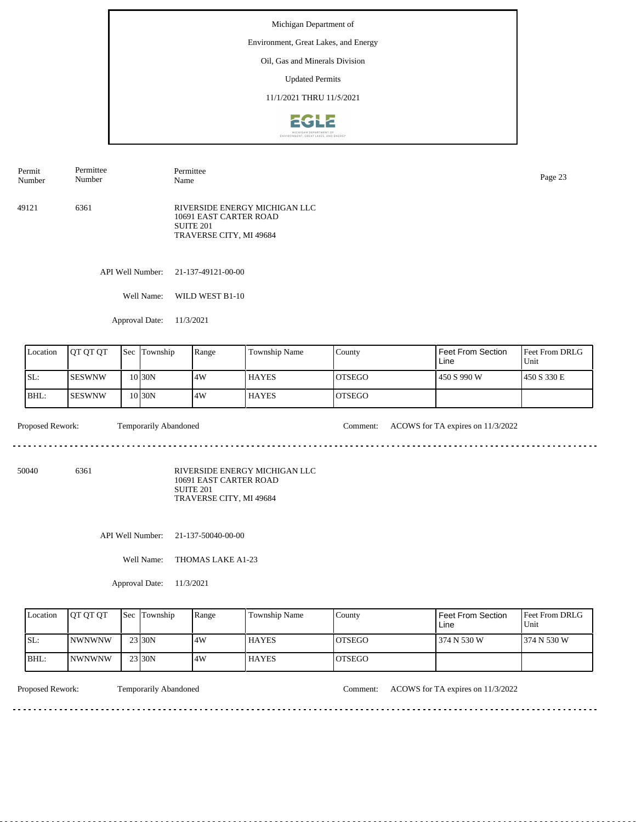Environment, Great Lakes, and Energy

### Oil, Gas and Minerals Division

Updated Permits

11/1/2021 THRU 11/5/2021



| Permit | Permittee | Permittee                                                                                                  | Page 23 |
|--------|-----------|------------------------------------------------------------------------------------------------------------|---------|
| Number | Number    | Name                                                                                                       |         |
| 49121  | 6361      | RIVERSIDE ENERGY MICHIGAN LLC<br>10691 EAST CARTER ROAD<br>SUITE <sub>201</sub><br>TRAVERSE CITY, MI 49684 |         |

API Well Number: 21-137-49121-00-00

Well Name: WILD WEST B1-10

Approval Date: 11/3/2021

| Location | <b>OT OT OT</b> | 'Sec | Township  | Range | Township Name | County         | <b>Feet From Section</b><br>Line | <b>Feet From DRLG</b><br>Unit |
|----------|-----------------|------|-----------|-------|---------------|----------------|----------------------------------|-------------------------------|
| ISL:     | ISESWNW         |      | 10 I 30 N | 4W    | <b>HAYES</b>  | IOTSEGO        | 450 S 990 W                      | 1450 S 330 E                  |
| BHL:     | ISESWNW         |      | 10 I 30 N | 4W    | <b>HAYES</b>  | <b>IOTSEGO</b> |                                  |                               |

 $- - - - - -$ 

Proposed Rework: Temporarily Abandoned Comment: ACOWS for TA expires on 11/3/2022

. . . . . . . . . . . . . . . . .

<u>. . . . . . . . . . .</u>

50040 6361

RIVERSIDE ENERGY MICHIGAN LLC 10691 EAST CARTER ROAD SUITE 201 TRAVERSE CITY, MI 49684

API Well Number: 21-137-50040-00-00

Well Name: THOMAS LAKE A1-23

Approval Date: 11/3/2021

| Location | <b>IOT OT OT</b> | <b>Sec</b> Township | Range | Township Name | County  | Feet From Section<br>Line | <b>Feet From DRLG</b><br>Unit |
|----------|------------------|---------------------|-------|---------------|---------|---------------------------|-------------------------------|
| ISL:     | <b>INWNWNW</b>   | 23 30N              | 4W    | <b>HAYES</b>  | IOTSEGO | 374 N 530 W               | 1374 N 530 W                  |
| BHL:     | <b>INWNWNW</b>   | 23 30N              | 4W    | <b>HAYES</b>  | IOTSEGO |                           |                               |

Proposed Rework: Temporarily Abandoned Comment: ACOWS for TA expires on 11/3/2022

<u>. . . . . . . .</u>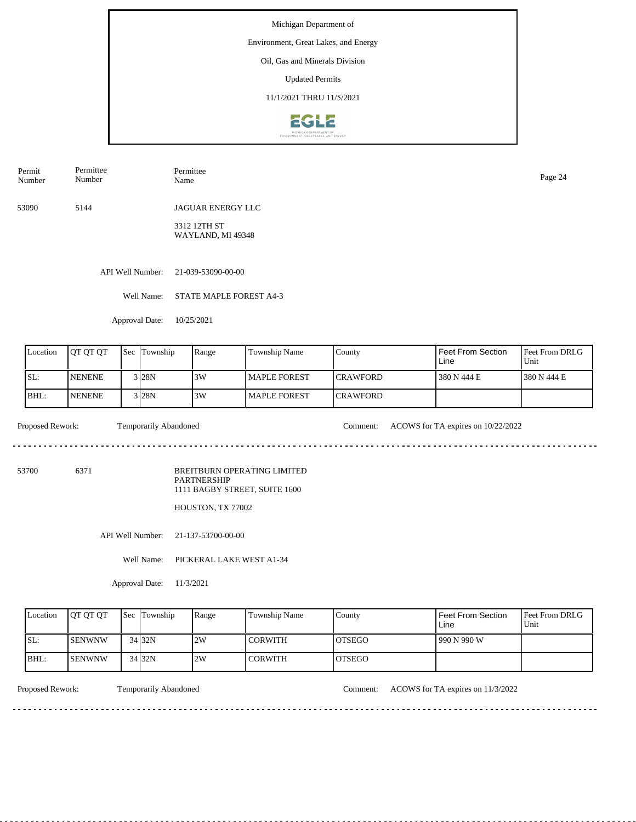Environment, Great Lakes, and Energy

### Oil, Gas and Minerals Division

Updated Permits

11/1/2021 THRU 11/5/2021



Permit Number Permittee Number Permittee Name Page 24

53090 5144 JAGUAR ENERGY LLC

> 3312 12TH ST WAYLAND, MI 49348

API Well Number: 21-039-53090-00-00

Well Name: STATE MAPLE FOREST A4-3

Approval Date: 10/25/2021

| Location | <b>OT OT OT</b> | <b>Sec</b> | Township            | Range | Township Name       | County           | Feet From Section<br>Line | <b>Feet From DRLG</b><br>'Unit |
|----------|-----------------|------------|---------------------|-------|---------------------|------------------|---------------------------|--------------------------------|
| SL:      | <b>INENENE</b>  |            | 3 <sub>128</sub> N  | 3W    | MAPLE FOREST        | <b>ICRAWFORD</b> | 380 N 444 E               | 1380 N 444 E                   |
| BHL:     | <b>NENENE</b>   |            | $3$ <sub>28</sub> N | 3W    | <b>MAPLE FOREST</b> | <b>ICRAWFORD</b> |                           |                                |

<u>. . . . . . . . . . . . . . . .</u>

Proposed Rework: Temporarily Abandoned Comment: ACOWS for TA expires on 10/22/2022

 $- - - -$ 

53700 6371

BREITBURN OPERATING LIMITED PARTNERSHIP 1111 BAGBY STREET, SUITE 1600

HOUSTON, TX 77002

API Well Number: 21-137-53700-00-00

Well Name: PICKERAL LAKE WEST A1-34

Approval Date: 11/3/2021

| Location | <b>OT OT OT</b> | <b>Sec</b> Township | Range | Township Name  | County         | Feet From Section<br>Line | <b>Feet From DRLG</b><br>Unit |
|----------|-----------------|---------------------|-------|----------------|----------------|---------------------------|-------------------------------|
| ISL:     | <b>SENWNW</b>   | $34$ 32N            | 2W    | <b>CORWITH</b> | IOTSEGO        | 990 N 990 W               |                               |
| IBHL:    | <b>ISENWNW</b>  | $34$ 32N            | 2W    | <b>CORWITH</b> | <b>IOTSEGO</b> |                           |                               |

<u>. . . . . . . . . . . . . .</u>

Proposed Rework: Temporarily Abandoned Comment: ACOWS for TA expires on 11/3/2022